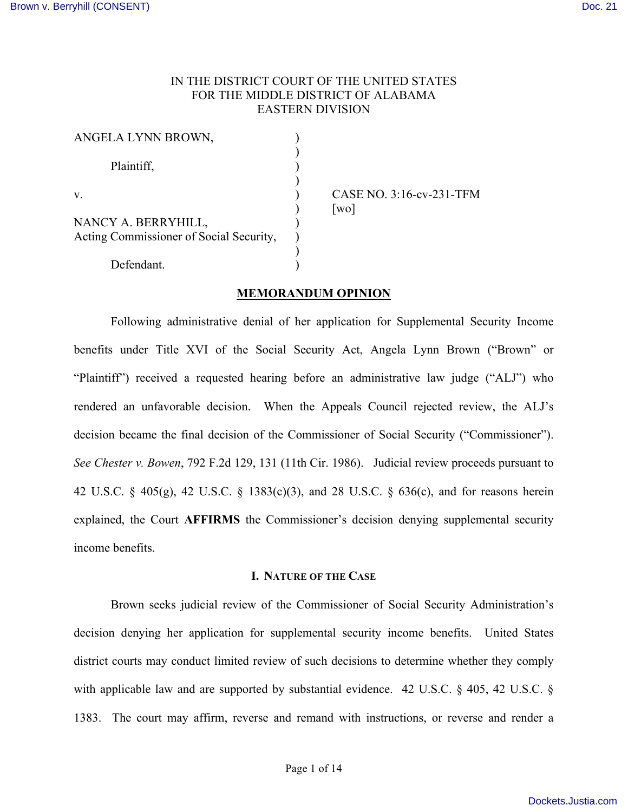# IN THE DISTRICT COURT OF THE UNITED STATES FOR THE MIDDLE DISTRICT OF ALABAMA EASTERN DIVISION

| ANGELA LYNN BROWN,                                             |  |
|----------------------------------------------------------------|--|
| Plaintiff,                                                     |  |
| V                                                              |  |
| NANCY A. BERRYHILL,<br>Acting Commissioner of Social Security, |  |
| Defendant.                                                     |  |

CASE NO. 3:16-cv-231-TFM  $\lceil$ wo $\rceil$ 

# **MEMORANDUM OPINION**

Following administrative denial of her application for Supplemental Security Income benefits under Title XVI of the Social Security Act, Angela Lynn Brown ("Brown" or "Plaintiff") received a requested hearing before an administrative law judge ("ALJ") who rendered an unfavorable decision. When the Appeals Council rejected review, the ALJ's decision became the final decision of the Commissioner of Social Security ("Commissioner"). *See Chester v. Bowen*, 792 F.2d 129, 131 (11th Cir. 1986). Judicial review proceeds pursuant to 42 U.S.C. § 405(g), 42 U.S.C. § 1383(c)(3), and 28 U.S.C. § 636(c), and for reasons herein explained, the Court **AFFIRMS** the Commissioner's decision denying supplemental security income benefits.

#### **I. NATURE OF THE CASE**

Brown seeks judicial review of the Commissioner of Social Security Administration's decision denying her application for supplemental security income benefits. United States district courts may conduct limited review of such decisions to determine whether they comply with applicable law and are supported by substantial evidence. 42 U.S.C. § 405, 42 U.S.C. § 1383. The court may affirm, reverse and remand with instructions, or reverse and render a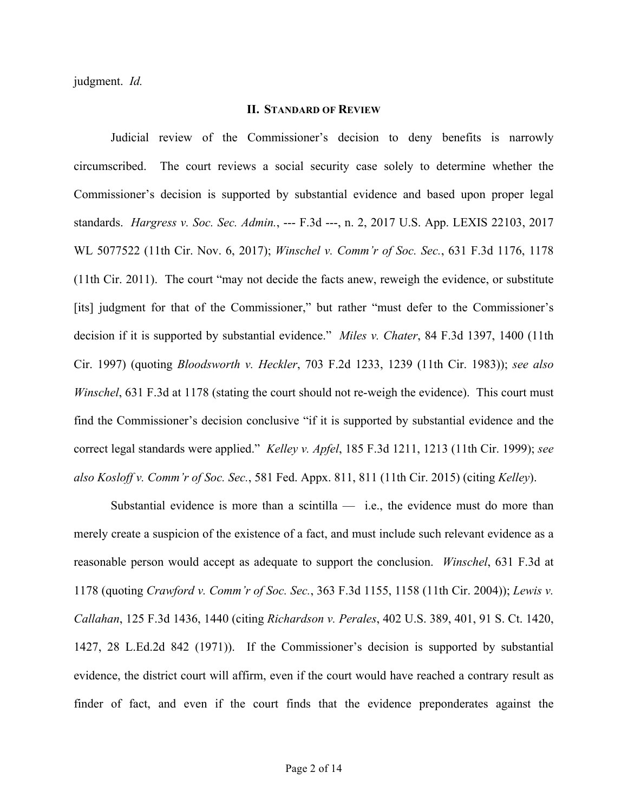judgment. *Id.*

#### **II. STANDARD OF REVIEW**

Judicial review of the Commissioner's decision to deny benefits is narrowly circumscribed. The court reviews a social security case solely to determine whether the Commissioner's decision is supported by substantial evidence and based upon proper legal standards. *Hargress v. Soc. Sec. Admin.*, --- F.3d ---, n. 2, 2017 U.S. App. LEXIS 22103, 2017 WL 5077522 (11th Cir. Nov. 6, 2017); *Winschel v. Comm'r of Soc. Sec.*, 631 F.3d 1176, 1178 (11th Cir. 2011). The court "may not decide the facts anew, reweigh the evidence, or substitute [its] judgment for that of the Commissioner," but rather "must defer to the Commissioner's decision if it is supported by substantial evidence." *Miles v. Chater*, 84 F.3d 1397, 1400 (11th Cir. 1997) (quoting *Bloodsworth v. Heckler*, 703 F.2d 1233, 1239 (11th Cir. 1983)); *see also Winschel*, 631 F.3d at 1178 (stating the court should not re-weigh the evidence). This court must find the Commissioner's decision conclusive "if it is supported by substantial evidence and the correct legal standards were applied." *Kelley v. Apfel*, 185 F.3d 1211, 1213 (11th Cir. 1999); *see also Kosloff v. Comm'r of Soc. Sec.*, 581 Fed. Appx. 811, 811 (11th Cir. 2015) (citing *Kelley*).

Substantial evidence is more than a scintilla  $-$  i.e., the evidence must do more than merely create a suspicion of the existence of a fact, and must include such relevant evidence as a reasonable person would accept as adequate to support the conclusion. *Winschel*, 631 F.3d at 1178 (quoting *Crawford v. Comm'r of Soc. Sec.*, 363 F.3d 1155, 1158 (11th Cir. 2004)); *Lewis v. Callahan*, 125 F.3d 1436, 1440 (citing *Richardson v. Perales*, 402 U.S. 389, 401, 91 S. Ct. 1420, 1427, 28 L.Ed.2d 842 (1971)). If the Commissioner's decision is supported by substantial evidence, the district court will affirm, even if the court would have reached a contrary result as finder of fact, and even if the court finds that the evidence preponderates against the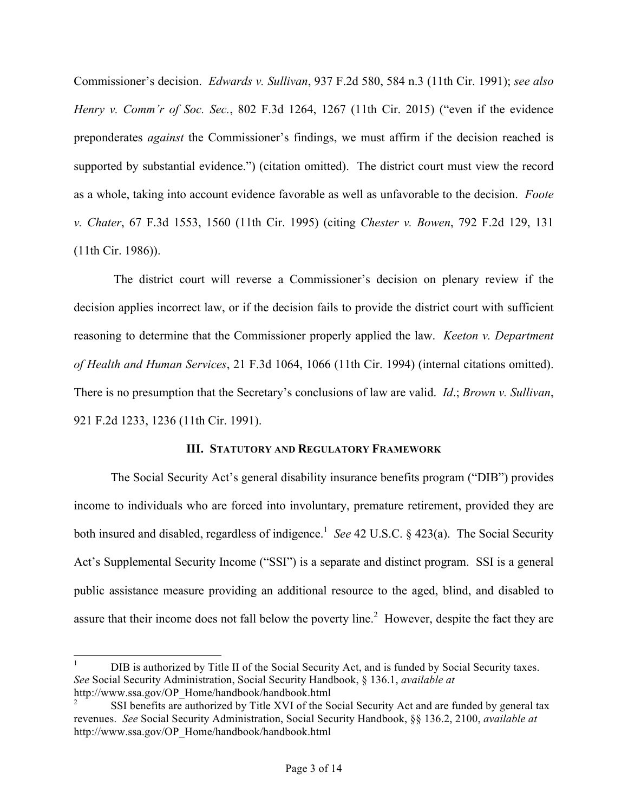Commissioner's decision. *Edwards v. Sullivan*, 937 F.2d 580, 584 n.3 (11th Cir. 1991); *see also Henry v. Comm'r of Soc. Sec.*, 802 F.3d 1264, 1267 (11th Cir. 2015) ("even if the evidence preponderates *against* the Commissioner's findings, we must affirm if the decision reached is supported by substantial evidence.") (citation omitted). The district court must view the record as a whole, taking into account evidence favorable as well as unfavorable to the decision. *Foote v. Chater*, 67 F.3d 1553, 1560 (11th Cir. 1995) (citing *Chester v. Bowen*, 792 F.2d 129, 131 (11th Cir. 1986)).

The district court will reverse a Commissioner's decision on plenary review if the decision applies incorrect law, or if the decision fails to provide the district court with sufficient reasoning to determine that the Commissioner properly applied the law. *Keeton v. Department of Health and Human Services*, 21 F.3d 1064, 1066 (11th Cir. 1994) (internal citations omitted). There is no presumption that the Secretary's conclusions of law are valid. *Id*.; *Brown v. Sullivan*, 921 F.2d 1233, 1236 (11th Cir. 1991).

## **III. STATUTORY AND REGULATORY FRAMEWORK**

The Social Security Act's general disability insurance benefits program ("DIB") provides income to individuals who are forced into involuntary, premature retirement, provided they are both insured and disabled, regardless of indigence.<sup>1</sup> See 42 U.S.C. § 423(a). The Social Security Act's Supplemental Security Income ("SSI") is a separate and distinct program. SSI is a general public assistance measure providing an additional resource to the aged, blind, and disabled to assure that their income does not fall below the poverty line.<sup>2</sup> However, despite the fact they are

 <sup>1</sup> DIB is authorized by Title II of the Social Security Act, and is funded by Social Security taxes. *See* Social Security Administration, Social Security Handbook, § 136.1, *available at* http://www.ssa.gov/OP\_Home/handbook/handbook.html

<sup>2</sup> SSI benefits are authorized by Title XVI of the Social Security Act and are funded by general tax revenues. *See* Social Security Administration, Social Security Handbook, §§ 136.2, 2100, *available at* http://www.ssa.gov/OP\_Home/handbook/handbook.html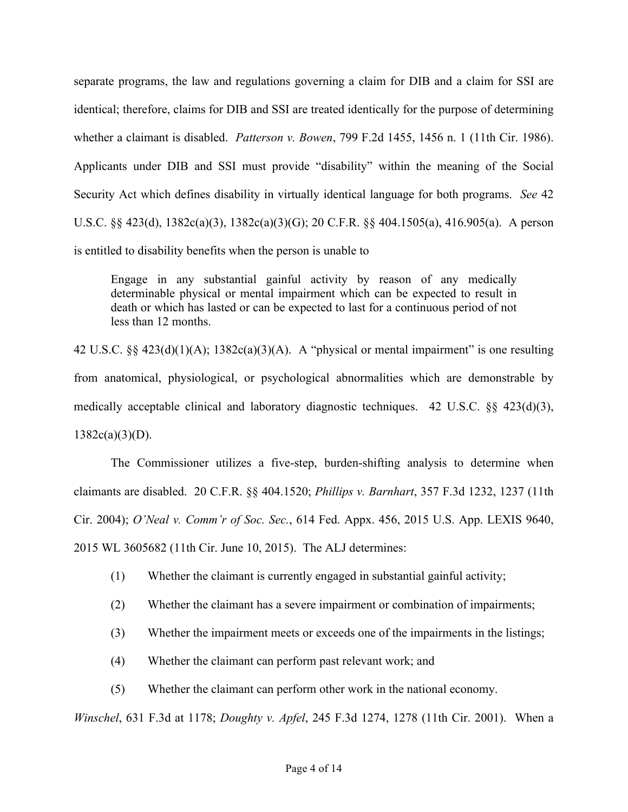separate programs, the law and regulations governing a claim for DIB and a claim for SSI are identical; therefore, claims for DIB and SSI are treated identically for the purpose of determining whether a claimant is disabled. *Patterson v. Bowen*, 799 F.2d 1455, 1456 n. 1 (11th Cir. 1986). Applicants under DIB and SSI must provide "disability" within the meaning of the Social Security Act which defines disability in virtually identical language for both programs. *See* 42 U.S.C. §§ 423(d), 1382c(a)(3), 1382c(a)(3)(G); 20 C.F.R. §§ 404.1505(a), 416.905(a). A person is entitled to disability benefits when the person is unable to

Engage in any substantial gainful activity by reason of any medically determinable physical or mental impairment which can be expected to result in death or which has lasted or can be expected to last for a continuous period of not less than 12 months.

42 U.S.C. §§ 423(d)(1)(A); 1382c(a)(3)(A). A "physical or mental impairment" is one resulting from anatomical, physiological, or psychological abnormalities which are demonstrable by medically acceptable clinical and laboratory diagnostic techniques. 42 U.S.C.  $\S$  423(d)(3),  $1382c(a)(3)(D)$ .

The Commissioner utilizes a five-step, burden-shifting analysis to determine when claimants are disabled. 20 C.F.R. §§ 404.1520; *Phillips v. Barnhart*, 357 F.3d 1232, 1237 (11th Cir. 2004); *O'Neal v. Comm'r of Soc. Sec.*, 614 Fed. Appx. 456, 2015 U.S. App. LEXIS 9640, 2015 WL 3605682 (11th Cir. June 10, 2015). The ALJ determines:

- (1) Whether the claimant is currently engaged in substantial gainful activity;
- (2) Whether the claimant has a severe impairment or combination of impairments;
- (3) Whether the impairment meets or exceeds one of the impairments in the listings;
- (4) Whether the claimant can perform past relevant work; and
- (5) Whether the claimant can perform other work in the national economy.

*Winschel*, 631 F.3d at 1178; *Doughty v. Apfel*, 245 F.3d 1274, 1278 (11th Cir. 2001). When a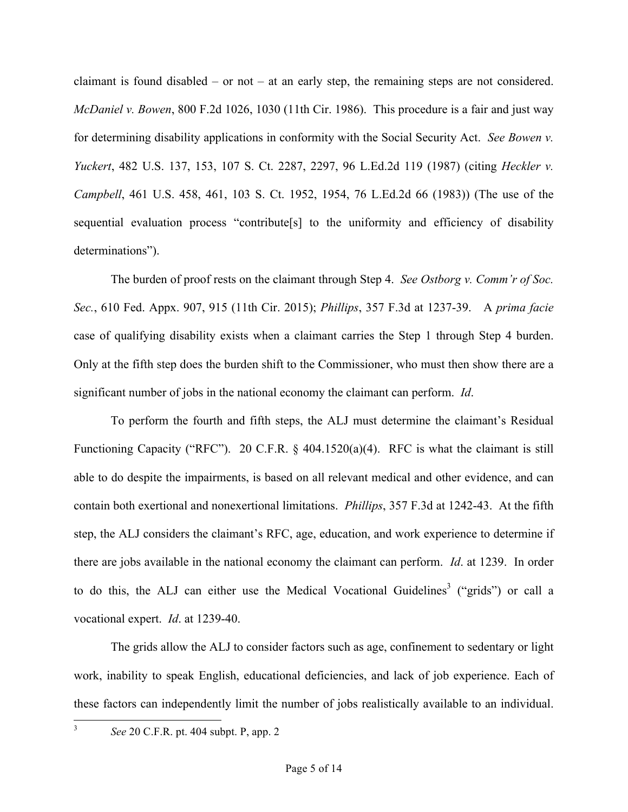claimant is found disabled – or not – at an early step, the remaining steps are not considered. *McDaniel v. Bowen*, 800 F.2d 1026, 1030 (11th Cir. 1986). This procedure is a fair and just way for determining disability applications in conformity with the Social Security Act. *See Bowen v. Yuckert*, 482 U.S. 137, 153, 107 S. Ct. 2287, 2297, 96 L.Ed.2d 119 (1987) (citing *Heckler v. Campbell*, 461 U.S. 458, 461, 103 S. Ct. 1952, 1954, 76 L.Ed.2d 66 (1983)) (The use of the sequential evaluation process "contribute[s] to the uniformity and efficiency of disability determinations").

The burden of proof rests on the claimant through Step 4. *See Ostborg v. Comm'r of Soc. Sec.*, 610 Fed. Appx. 907, 915 (11th Cir. 2015); *Phillips*, 357 F.3d at 1237-39. A *prima facie* case of qualifying disability exists when a claimant carries the Step 1 through Step 4 burden. Only at the fifth step does the burden shift to the Commissioner, who must then show there are a significant number of jobs in the national economy the claimant can perform. *Id*.

To perform the fourth and fifth steps, the ALJ must determine the claimant's Residual Functioning Capacity ("RFC"). 20 C.F.R. § 404.1520(a)(4). RFC is what the claimant is still able to do despite the impairments, is based on all relevant medical and other evidence, and can contain both exertional and nonexertional limitations. *Phillips*, 357 F.3d at 1242-43. At the fifth step, the ALJ considers the claimant's RFC, age, education, and work experience to determine if there are jobs available in the national economy the claimant can perform. *Id*. at 1239. In order to do this, the ALJ can either use the Medical Vocational Guidelines<sup>3</sup> ("grids") or call a vocational expert. *Id*. at 1239-40.

The grids allow the ALJ to consider factors such as age, confinement to sedentary or light work, inability to speak English, educational deficiencies, and lack of job experience. Each of these factors can independently limit the number of jobs realistically available to an individual.

 <sup>3</sup> *See* 20 C.F.R. pt. 404 subpt. P, app. 2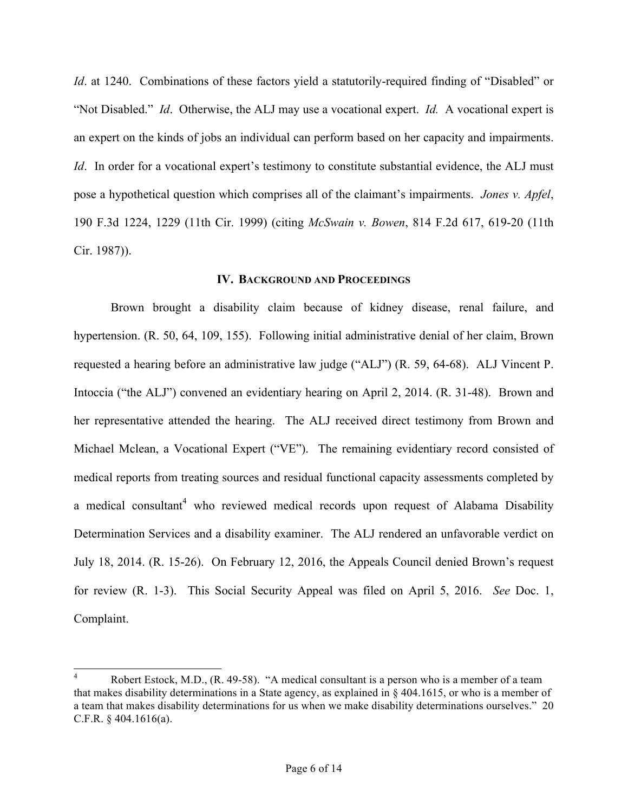*Id.* at 1240. Combinations of these factors yield a statutorily-required finding of "Disabled" or "Not Disabled." *Id*. Otherwise, the ALJ may use a vocational expert. *Id.* A vocational expert is an expert on the kinds of jobs an individual can perform based on her capacity and impairments. *Id*. In order for a vocational expert's testimony to constitute substantial evidence, the ALJ must pose a hypothetical question which comprises all of the claimant's impairments. *Jones v. Apfel*, 190 F.3d 1224, 1229 (11th Cir. 1999) (citing *McSwain v. Bowen*, 814 F.2d 617, 619-20 (11th Cir. 1987)).

### **IV. BACKGROUND AND PROCEEDINGS**

 Brown brought a disability claim because of kidney disease, renal failure, and hypertension. (R. 50, 64, 109, 155). Following initial administrative denial of her claim, Brown requested a hearing before an administrative law judge ("ALJ") (R. 59, 64-68). ALJ Vincent P. Intoccia ("the ALJ") convened an evidentiary hearing on April 2, 2014. (R. 31-48). Brown and her representative attended the hearing. The ALJ received direct testimony from Brown and Michael Mclean, a Vocational Expert ("VE"). The remaining evidentiary record consisted of medical reports from treating sources and residual functional capacity assessments completed by a medical consultant<sup>4</sup> who reviewed medical records upon request of Alabama Disability Determination Services and a disability examiner. The ALJ rendered an unfavorable verdict on July 18, 2014. (R. 15-26). On February 12, 2016, the Appeals Council denied Brown's request for review (R. 1-3). This Social Security Appeal was filed on April 5, 2016. *See* Doc. 1, Complaint.

Robert Estock, M.D., (R. 49-58). "A medical consultant is a person who is a member of a team that makes disability determinations in a State agency, as explained in § 404.1615, or who is a member of a team that makes disability determinations for us when we make disability determinations ourselves." 20 C.F.R. § 404.1616(a).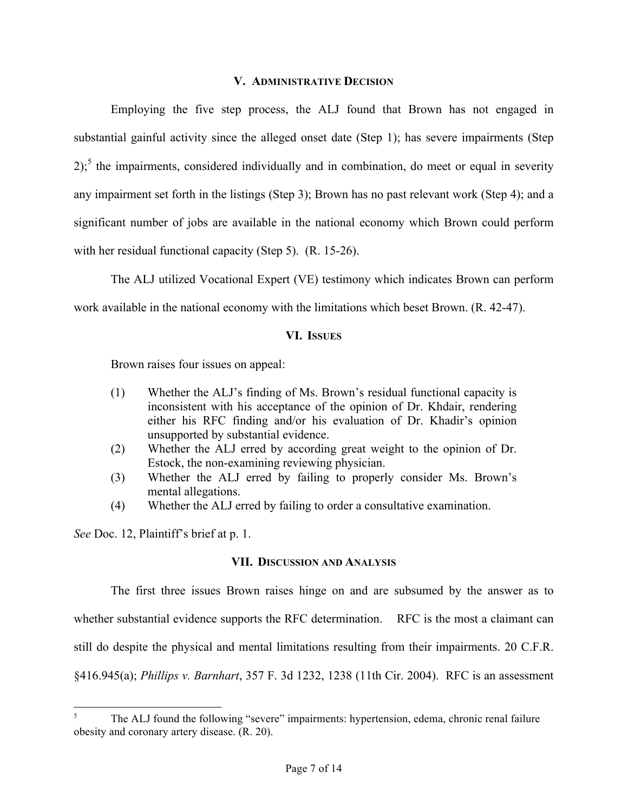## **V. ADMINISTRATIVE DECISION**

Employing the five step process, the ALJ found that Brown has not engaged in substantial gainful activity since the alleged onset date (Step 1); has severe impairments (Step  $2$ ;<sup>5</sup> the impairments, considered individually and in combination, do meet or equal in severity any impairment set forth in the listings (Step 3); Brown has no past relevant work (Step 4); and a significant number of jobs are available in the national economy which Brown could perform with her residual functional capacity (Step 5). (R. 15-26).

The ALJ utilized Vocational Expert (VE) testimony which indicates Brown can perform work available in the national economy with the limitations which beset Brown. (R. 42-47).

### **VI. ISSUES**

Brown raises four issues on appeal:

- (1) Whether the ALJ's finding of Ms. Brown's residual functional capacity is inconsistent with his acceptance of the opinion of Dr. Khdair, rendering either his RFC finding and/or his evaluation of Dr. Khadir's opinion unsupported by substantial evidence.
- (2) Whether the ALJ erred by according great weight to the opinion of Dr. Estock, the non-examining reviewing physician.
- (3) Whether the ALJ erred by failing to properly consider Ms. Brown's mental allegations.
- (4) Whether the ALJ erred by failing to order a consultative examination.

*See* Doc. 12, Plaintiff's brief at p. 1.

### **VII. DISCUSSION AND ANALYSIS**

The first three issues Brown raises hinge on and are subsumed by the answer as to whether substantial evidence supports the RFC determination. RFC is the most a claimant can still do despite the physical and mental limitations resulting from their impairments. 20 C.F.R. §416.945(a); *Phillips v. Barnhart*, 357 F. 3d 1232, 1238 (11th Cir. 2004). RFC is an assessment

 <sup>5</sup> The ALJ found the following "severe" impairments: hypertension, edema, chronic renal failure obesity and coronary artery disease. (R. 20).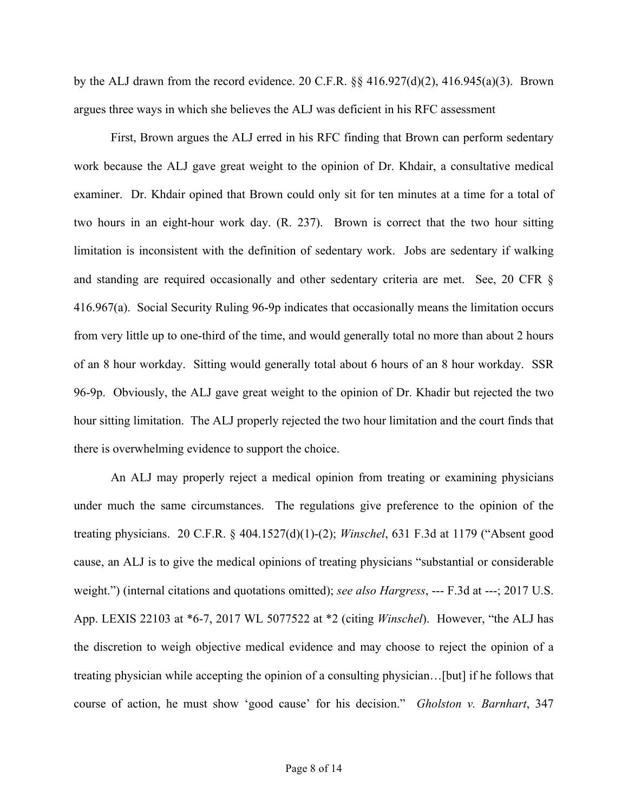by the ALJ drawn from the record evidence. 20 C.F.R.  $\S$  416.927(d)(2), 416.945(a)(3). Brown argues three ways in which she believes the ALJ was deficient in his RFC assessment

First, Brown argues the ALJ erred in his RFC finding that Brown can perform sedentary work because the ALJ gave great weight to the opinion of Dr. Khdair, a consultative medical examiner. Dr. Khdair opined that Brown could only sit for ten minutes at a time for a total of two hours in an eight-hour work day. (R. 237). Brown is correct that the two hour sitting limitation is inconsistent with the definition of sedentary work. Jobs are sedentary if walking and standing are required occasionally and other sedentary criteria are met. See, 20 CFR § 416.967(a). Social Security Ruling 96-9p indicates that occasionally means the limitation occurs from very little up to one-third of the time, and would generally total no more than about 2 hours of an 8 hour workday. Sitting would generally total about 6 hours of an 8 hour workday. SSR 96-9p. Obviously, the ALJ gave great weight to the opinion of Dr. Khadir but rejected the two hour sitting limitation. The ALJ properly rejected the two hour limitation and the court finds that there is overwhelming evidence to support the choice.

An ALJ may properly reject a medical opinion from treating or examining physicians under much the same circumstances. The regulations give preference to the opinion of the treating physicians. 20 C.F.R. § 404.1527(d)(1)-(2); *Winschel*, 631 F.3d at 1179 ("Absent good cause, an ALJ is to give the medical opinions of treating physicians "substantial or considerable weight.") (internal citations and quotations omitted); *see also Hargress*, --- F.3d at ---; 2017 U.S. App. LEXIS 22103 at \*6-7, 2017 WL 5077522 at \*2 (citing *Winschel*). However, "the ALJ has the discretion to weigh objective medical evidence and may choose to reject the opinion of a treating physician while accepting the opinion of a consulting physician…[but] if he follows that course of action, he must show 'good cause' for his decision." *Gholston v. Barnhart*, 347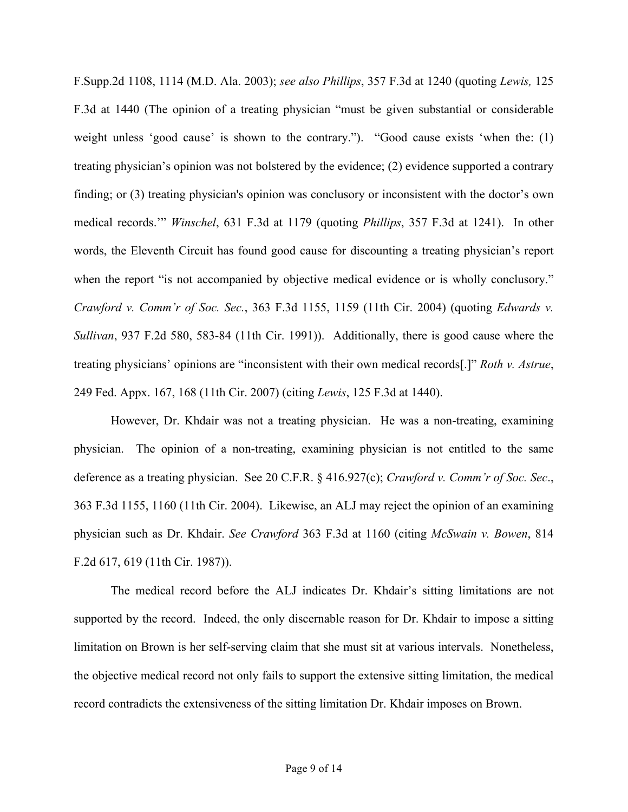F.Supp.2d 1108, 1114 (M.D. Ala. 2003); *see also Phillips*, 357 F.3d at 1240 (quoting *Lewis,* 125 F.3d at 1440 (The opinion of a treating physician "must be given substantial or considerable weight unless 'good cause' is shown to the contrary."). "Good cause exists 'when the: (1) treating physician's opinion was not bolstered by the evidence; (2) evidence supported a contrary finding; or (3) treating physician's opinion was conclusory or inconsistent with the doctor's own medical records.'" *Winschel*, 631 F.3d at 1179 (quoting *Phillips*, 357 F.3d at 1241). In other words, the Eleventh Circuit has found good cause for discounting a treating physician's report when the report "is not accompanied by objective medical evidence or is wholly conclusory." *Crawford v. Comm'r of Soc. Sec.*, 363 F.3d 1155, 1159 (11th Cir. 2004) (quoting *Edwards v. Sullivan*, 937 F.2d 580, 583-84 (11th Cir. 1991)). Additionally, there is good cause where the treating physicians' opinions are "inconsistent with their own medical records[.]" *Roth v. Astrue*, 249 Fed. Appx. 167, 168 (11th Cir. 2007) (citing *Lewis*, 125 F.3d at 1440).

However, Dr. Khdair was not a treating physician. He was a non-treating, examining physician. The opinion of a non-treating, examining physician is not entitled to the same deference as a treating physician. See 20 C.F.R. § 416.927(c); *Crawford v. Comm'r of Soc. Sec*., 363 F.3d 1155, 1160 (11th Cir. 2004). Likewise, an ALJ may reject the opinion of an examining physician such as Dr. Khdair. *See Crawford* 363 F.3d at 1160 (citing *McSwain v. Bowen*, 814 F.2d 617, 619 (11th Cir. 1987)).

The medical record before the ALJ indicates Dr. Khdair's sitting limitations are not supported by the record. Indeed, the only discernable reason for Dr. Khdair to impose a sitting limitation on Brown is her self-serving claim that she must sit at various intervals. Nonetheless, the objective medical record not only fails to support the extensive sitting limitation, the medical record contradicts the extensiveness of the sitting limitation Dr. Khdair imposes on Brown.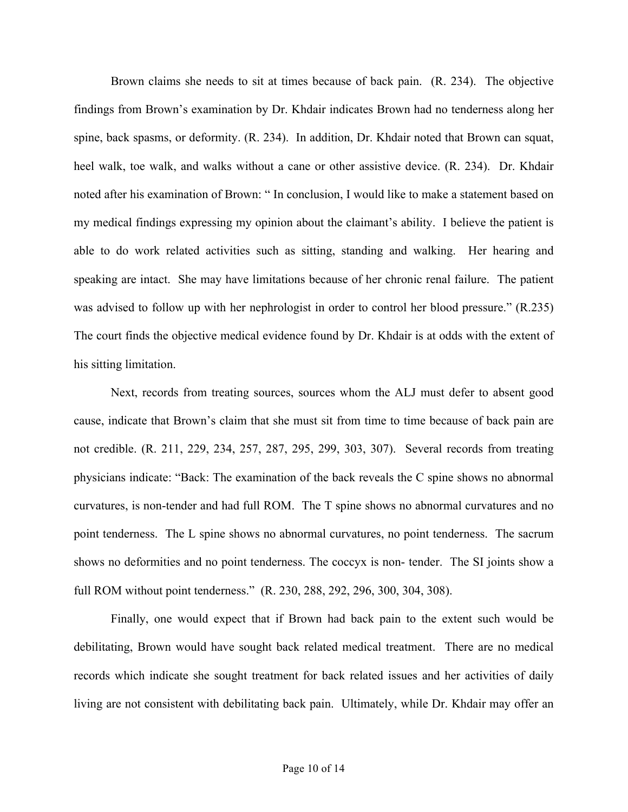Brown claims she needs to sit at times because of back pain. (R. 234). The objective findings from Brown's examination by Dr. Khdair indicates Brown had no tenderness along her spine, back spasms, or deformity. (R. 234). In addition, Dr. Khdair noted that Brown can squat, heel walk, toe walk, and walks without a cane or other assistive device. (R. 234). Dr. Khdair noted after his examination of Brown: " In conclusion, I would like to make a statement based on my medical findings expressing my opinion about the claimant's ability. I believe the patient is able to do work related activities such as sitting, standing and walking. Her hearing and speaking are intact. She may have limitations because of her chronic renal failure. The patient was advised to follow up with her nephrologist in order to control her blood pressure." (R.235) The court finds the objective medical evidence found by Dr. Khdair is at odds with the extent of his sitting limitation.

Next, records from treating sources, sources whom the ALJ must defer to absent good cause, indicate that Brown's claim that she must sit from time to time because of back pain are not credible. (R. 211, 229, 234, 257, 287, 295, 299, 303, 307). Several records from treating physicians indicate: "Back: The examination of the back reveals the C spine shows no abnormal curvatures, is non-tender and had full ROM. The T spine shows no abnormal curvatures and no point tenderness. The L spine shows no abnormal curvatures, no point tenderness. The sacrum shows no deformities and no point tenderness. The coccyx is non- tender. The SI joints show a full ROM without point tenderness." (R. 230, 288, 292, 296, 300, 304, 308).

Finally, one would expect that if Brown had back pain to the extent such would be debilitating, Brown would have sought back related medical treatment. There are no medical records which indicate she sought treatment for back related issues and her activities of daily living are not consistent with debilitating back pain. Ultimately, while Dr. Khdair may offer an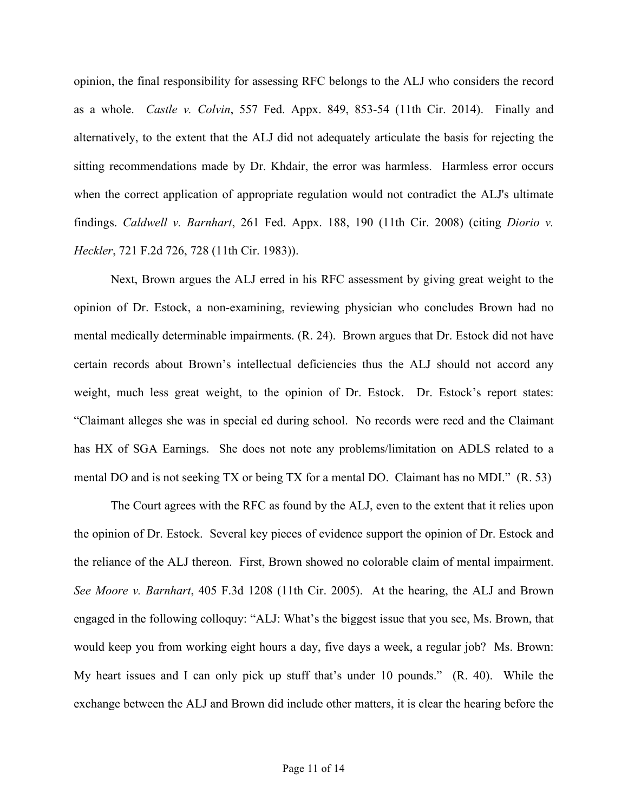opinion, the final responsibility for assessing RFC belongs to the ALJ who considers the record as a whole. *Castle v. Colvin*, 557 Fed. Appx. 849, 853-54 (11th Cir. 2014). Finally and alternatively, to the extent that the ALJ did not adequately articulate the basis for rejecting the sitting recommendations made by Dr. Khdair, the error was harmless. Harmless error occurs when the correct application of appropriate regulation would not contradict the ALJ's ultimate findings. *Caldwell v. Barnhart*, 261 Fed. Appx. 188, 190 (11th Cir. 2008) (citing *Diorio v. Heckler*, 721 F.2d 726, 728 (11th Cir. 1983)).

Next, Brown argues the ALJ erred in his RFC assessment by giving great weight to the opinion of Dr. Estock, a non-examining, reviewing physician who concludes Brown had no mental medically determinable impairments. (R. 24). Brown argues that Dr. Estock did not have certain records about Brown's intellectual deficiencies thus the ALJ should not accord any weight, much less great weight, to the opinion of Dr. Estock. Dr. Estock's report states: "Claimant alleges she was in special ed during school. No records were recd and the Claimant has HX of SGA Earnings. She does not note any problems/limitation on ADLS related to a mental DO and is not seeking TX or being TX for a mental DO. Claimant has no MDI." (R. 53)

 The Court agrees with the RFC as found by the ALJ, even to the extent that it relies upon the opinion of Dr. Estock. Several key pieces of evidence support the opinion of Dr. Estock and the reliance of the ALJ thereon. First, Brown showed no colorable claim of mental impairment. *See Moore v. Barnhart*, 405 F.3d 1208 (11th Cir. 2005). At the hearing, the ALJ and Brown engaged in the following colloquy: "ALJ: What's the biggest issue that you see, Ms. Brown, that would keep you from working eight hours a day, five days a week, a regular job? Ms. Brown: My heart issues and I can only pick up stuff that's under 10 pounds." (R. 40). While the exchange between the ALJ and Brown did include other matters, it is clear the hearing before the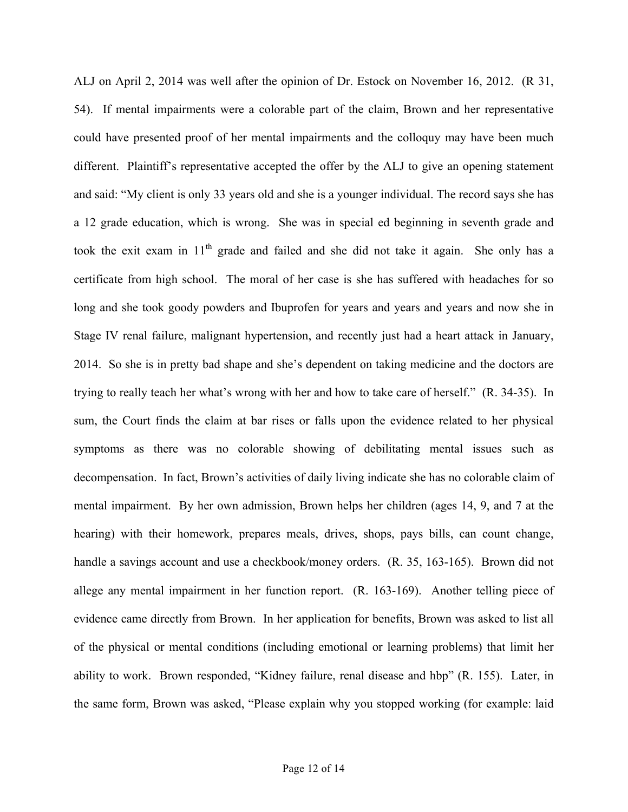ALJ on April 2, 2014 was well after the opinion of Dr. Estock on November 16, 2012. (R 31, 54). If mental impairments were a colorable part of the claim, Brown and her representative could have presented proof of her mental impairments and the colloquy may have been much different. Plaintiff's representative accepted the offer by the ALJ to give an opening statement and said: "My client is only 33 years old and she is a younger individual. The record says she has a 12 grade education, which is wrong. She was in special ed beginning in seventh grade and took the exit exam in  $11<sup>th</sup>$  grade and failed and she did not take it again. She only has a certificate from high school. The moral of her case is she has suffered with headaches for so long and she took goody powders and Ibuprofen for years and years and years and now she in Stage IV renal failure, malignant hypertension, and recently just had a heart attack in January, 2014. So she is in pretty bad shape and she's dependent on taking medicine and the doctors are trying to really teach her what's wrong with her and how to take care of herself." (R. 34-35). In sum, the Court finds the claim at bar rises or falls upon the evidence related to her physical symptoms as there was no colorable showing of debilitating mental issues such as decompensation. In fact, Brown's activities of daily living indicate she has no colorable claim of mental impairment. By her own admission, Brown helps her children (ages 14, 9, and 7 at the hearing) with their homework, prepares meals, drives, shops, pays bills, can count change, handle a savings account and use a checkbook/money orders. (R. 35, 163-165). Brown did not allege any mental impairment in her function report. (R. 163-169). Another telling piece of evidence came directly from Brown. In her application for benefits, Brown was asked to list all of the physical or mental conditions (including emotional or learning problems) that limit her ability to work. Brown responded, "Kidney failure, renal disease and hbp" (R. 155). Later, in the same form, Brown was asked, "Please explain why you stopped working (for example: laid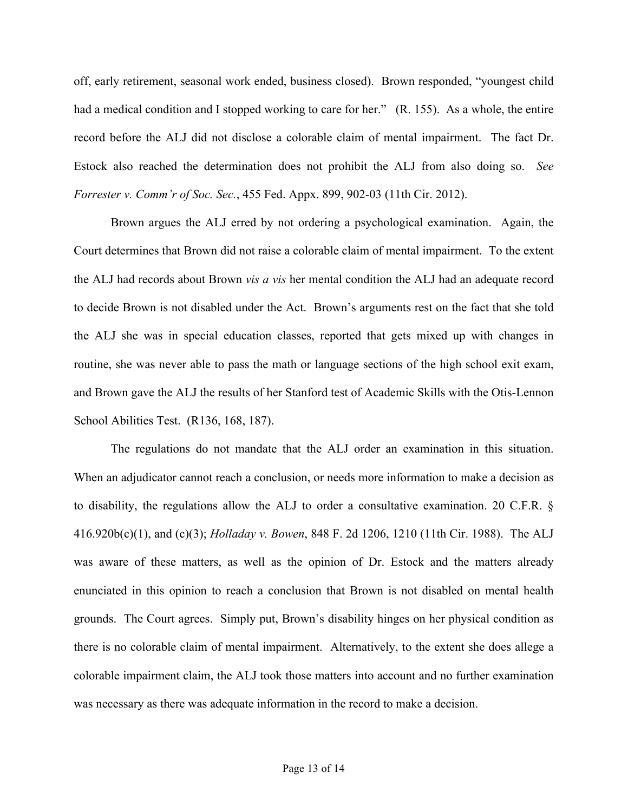off, early retirement, seasonal work ended, business closed). Brown responded, "youngest child had a medical condition and I stopped working to care for her." (R. 155). As a whole, the entire record before the ALJ did not disclose a colorable claim of mental impairment. The fact Dr. Estock also reached the determination does not prohibit the ALJ from also doing so. *See Forrester v. Comm'r of Soc. Sec.*, 455 Fed. Appx. 899, 902-03 (11th Cir. 2012).

Brown argues the ALJ erred by not ordering a psychological examination. Again, the Court determines that Brown did not raise a colorable claim of mental impairment. To the extent the ALJ had records about Brown *vis a vis* her mental condition the ALJ had an adequate record to decide Brown is not disabled under the Act. Brown's arguments rest on the fact that she told the ALJ she was in special education classes, reported that gets mixed up with changes in routine, she was never able to pass the math or language sections of the high school exit exam, and Brown gave the ALJ the results of her Stanford test of Academic Skills with the Otis-Lennon School Abilities Test. (R136, 168, 187).

The regulations do not mandate that the ALJ order an examination in this situation. When an adjudicator cannot reach a conclusion, or needs more information to make a decision as to disability, the regulations allow the ALJ to order a consultative examination. 20 C.F.R. § 416.920b(c)(1), and (c)(3); *Holladay v. Bowen*, 848 F. 2d 1206, 1210 (11th Cir. 1988). The ALJ was aware of these matters, as well as the opinion of Dr. Estock and the matters already enunciated in this opinion to reach a conclusion that Brown is not disabled on mental health grounds. The Court agrees. Simply put, Brown's disability hinges on her physical condition as there is no colorable claim of mental impairment. Alternatively, to the extent she does allege a colorable impairment claim, the ALJ took those matters into account and no further examination was necessary as there was adequate information in the record to make a decision.